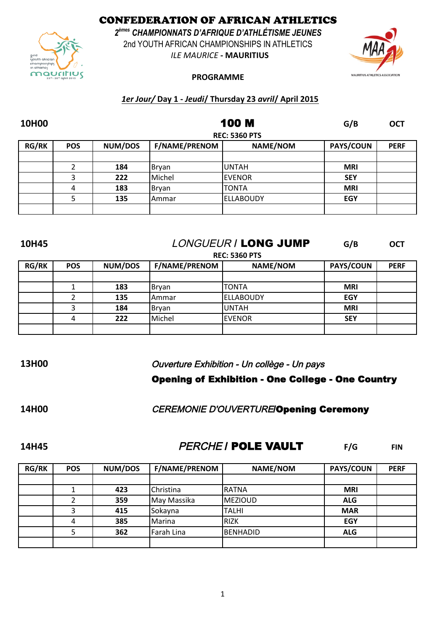CONFEDERATION OF AFRICAN ATHLETICS

*2 èmes CHAMPIONNATS D'AFRIQUE D'ATHLÉTISME JEUNES* 2nd YOUTH AFRICAN CHAMPIONSHIPS IN ATHLETICS

*ILE MAURICE* **- MAURITIUS**



### **PROGRAMME**

### *1er Jour/* **Day 1 -** *Jeudi***/ Thursday 23** *avril***/ April 2015**

| <b>10H00</b> |            |                      | <b>100 M</b>         | G/B              | <b>OCT</b> |             |  |  |
|--------------|------------|----------------------|----------------------|------------------|------------|-------------|--|--|
|              |            | <b>REC: 5360 PTS</b> |                      |                  |            |             |  |  |
| <b>RG/RK</b> | <b>POS</b> | NUM/DOS              | <b>F/NAME/PRENOM</b> | <b>NAME/NOM</b>  | PAYS/COUN  | <b>PERF</b> |  |  |
|              |            |                      |                      |                  |            |             |  |  |
|              |            | 184                  | Bryan                | <b>UNTAH</b>     | <b>MRI</b> |             |  |  |
|              | 3          | 222                  | Michel               | <b>EVENOR</b>    | <b>SEY</b> |             |  |  |
|              | 4          | 183                  | Bryan                | <b>TONTA</b>     | <b>MRI</b> |             |  |  |
|              |            | 135                  | Ammar                | <b>ELLABOUDY</b> | <b>EGY</b> |             |  |  |
|              |            |                      |                      |                  |            |             |  |  |

## **10H45 G/B OCT** LONGUEUR / LONG JUMP

|              | <b>REC: 5360 PTS</b> |         |               |                   |                  |             |  |  |  |
|--------------|----------------------|---------|---------------|-------------------|------------------|-------------|--|--|--|
| <b>RG/RK</b> | <b>POS</b>           | NUM/DOS | F/NAME/PRENOM | NAME/NOM          | <b>PAYS/COUN</b> | <b>PERF</b> |  |  |  |
|              |                      |         |               |                   |                  |             |  |  |  |
|              |                      | 183     | Bryan         | <b>TONTA</b>      | <b>MRI</b>       |             |  |  |  |
|              |                      | 135     | Ammar         | <b> ELLABOUDY</b> | EGY              |             |  |  |  |
|              |                      | 184     | Bryan         | <b>UNTAH</b>      | <b>MRI</b>       |             |  |  |  |
|              | 4                    | 222     | Michel        | <b>EVENOR</b>     | <b>SEY</b>       |             |  |  |  |
|              |                      |         |               |                   |                  |             |  |  |  |

### **13H00** Ouverture Exhibition - Un collège - Un pays

## Opening of Exhibition - One College - One Country

### **14H00** CEREMONIE D'OUVERTURE/Opening Ceremony

## **14H45 FIND READLE VAULT** FIN

| <b>RG/RK</b> | <b>POS</b> | <b>NUM/DOS</b> | <b>F/NAME/PRENOM</b> | <b>NAME/NOM</b> | <b>PAYS/COUN</b> | <b>PERF</b> |
|--------------|------------|----------------|----------------------|-----------------|------------------|-------------|
|              |            |                |                      |                 |                  |             |
|              |            | 423            | Christina            | RATNA           | <b>MRI</b>       |             |
|              |            | 359            | May Massika          | <b>IMEZIOUD</b> | <b>ALG</b>       |             |
|              |            | 415            | Sokayna              | TALHI           | <b>MAR</b>       |             |
|              | 4          | 385            | Marina               | <b>RIZK</b>     | <b>EGY</b>       |             |
|              |            | 362            | Farah Lina           | BENHADID        | <b>ALG</b>       |             |
|              |            |                |                      |                 |                  |             |

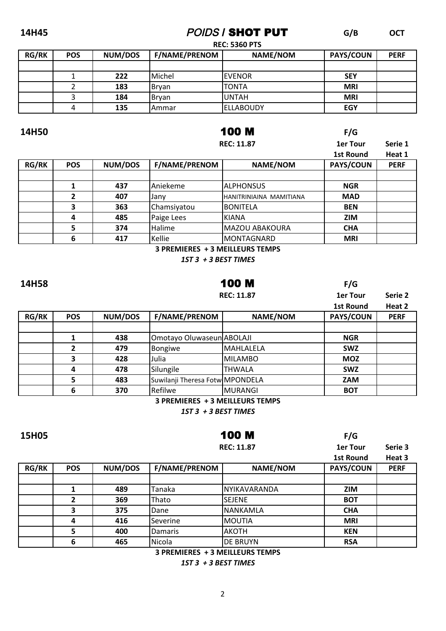### 14H45

# **POIDS I SHOT PUT**

 $G/B$ **OCT** 

 $F/G$ 

**REC: 5360 PTS** 

| <b>RG/RK</b> | <b>POS</b> | <b>NUM/DOS</b> | <b>F/NAME/PRENOM</b> | <b>NAME/NOM</b> | <b>PAYS/COUN</b> | <b>PERF</b> |
|--------------|------------|----------------|----------------------|-----------------|------------------|-------------|
|              |            |                |                      |                 |                  |             |
|              |            | 222            | <b>IMichel</b>       | IEVENOR         | <b>SEY</b>       |             |
|              |            | 183            | <b>Brvan</b>         | ITONTA          | <b>MRI</b>       |             |
|              |            | 184            | <b>Brvan</b>         | <b>UNTAH</b>    | <b>MRI</b>       |             |
|              |            | 135            | l Ammar              | lellaboudy      | <b>EGY</b>       |             |

### 14H50

15H05

## **100 M**

|              |            |         |                      | <b>REC: 11.87</b>       |                  |             |
|--------------|------------|---------|----------------------|-------------------------|------------------|-------------|
|              |            |         |                      |                         | 1st Round        | Heat 1      |
| <b>RG/RK</b> | <b>POS</b> | NUM/DOS | <b>F/NAME/PRENOM</b> | <b>NAME/NOM</b>         | <b>PAYS/COUN</b> | <b>PERF</b> |
|              |            |         |                      |                         |                  |             |
|              |            | 437     | Aniekeme             | ALPHONSUS               | <b>NGR</b>       |             |
|              | 2          | 407     | Jany                 | HANITRINIAINA MAMITIANA | <b>MAD</b>       |             |
|              | 3          | 363     | Chamsiyatou          | IBONITELA               | <b>BEN</b>       |             |
|              | 4          | 485     | Paige Lees           | KIANA                   | <b>ZIM</b>       |             |
|              | 5          | 374     | Halime               | MAZOU ABAKOURA          | <b>CHA</b>       |             |
|              | 6          | 417     | Kellie               | IMONTAGNARD             | <b>MRI</b>       |             |
|              |            |         |                      |                         |                  |             |

3 PREMIERES + 3 MEILLEURS TEMPS

1ST 3 + 3 BEST TIMES

| 14H58        |            |                   | <b>100 M</b>                    |                 | F/G              |             |
|--------------|------------|-------------------|---------------------------------|-----------------|------------------|-------------|
|              |            | <b>REC: 11.87</b> |                                 |                 | <b>1er Tour</b>  | Serie 2     |
|              |            |                   |                                 |                 | <b>1st Round</b> | Heat 2      |
| <b>RG/RK</b> | <b>POS</b> | NUM/DOS           | <b>F/NAME/PRENOM</b>            | <b>NAME/NOM</b> | PAYS/COUN        | <b>PERF</b> |
|              |            |                   |                                 |                 |                  |             |
|              |            | 438               | Omotayo Oluwaseun ABOLAJI       |                 | <b>NGR</b>       |             |
|              | 2          | 479               | Bongiwe                         | MAHLALELA       | <b>SWZ</b>       |             |
|              | 3          | 428               | Julia                           | MILAMBO         | <b>MOZ</b>       |             |
|              | 4          | 478               | Silungile                       | <b>THWALA</b>   | <b>SWZ</b>       |             |
|              | 5          | 483               | Suwilanji Theresa Fotw MPONDELA |                 | <b>ZAM</b>       |             |
|              | 6          | 370               | Refilwe                         | MURANGI         | <b>BOT</b>       |             |

3 PREMIERES + 3 MEILLEURS TEMPS

1ST 3 + 3 BEST TIMES

100 M

 $F/G$ 

|              |            |         |                      | <b>REC: 11.87</b> |                  |             |
|--------------|------------|---------|----------------------|-------------------|------------------|-------------|
| <b>RG/RK</b> | <b>POS</b> | NUM/DOS | <b>F/NAME/PRENOM</b> | <b>NAME/NOM</b>   | <b>PAYS/COUN</b> | <b>PERF</b> |
|              |            |         |                      |                   |                  |             |
|              |            | 489     | Tanaka               | INYIKAVARANDA     | <b>ZIM</b>       |             |
|              | 2          | 369     | Thato                | <b>SEJENE</b>     | <b>BOT</b>       |             |
|              | 3          | 375     | Dane                 | <b>NANKAMLA</b>   | <b>CHA</b>       |             |
|              | 4          | 416     | <b>Severine</b>      | <b>MOUTIA</b>     | <b>MRI</b>       |             |
|              | 5          | 400     | Damaris              | AKOTH             | <b>KEN</b>       |             |
|              | 6          | 465     | Nicola               | <b>DE BRUYN</b>   | <b>RSA</b>       |             |

3 PREMIERES + 3 MEILLEURS TEMPS

1ST 3 + 3 BEST TIMES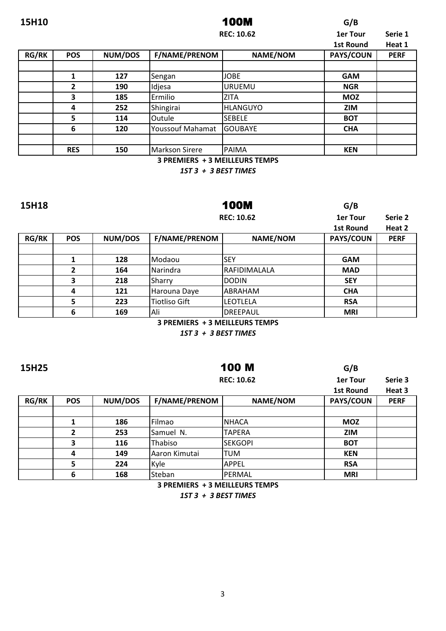| 15H10        |            |                |                      | G/B               |                  |             |
|--------------|------------|----------------|----------------------|-------------------|------------------|-------------|
|              |            |                |                      | <b>REC: 10.62</b> | <b>1er Tour</b>  | Serie 1     |
|              |            |                |                      |                   | <b>1st Round</b> | Heat 1      |
| <b>RG/RK</b> | <b>POS</b> | <b>NUM/DOS</b> | <b>F/NAME/PRENOM</b> | <b>NAME/NOM</b>   | PAYS/COUN        | <b>PERF</b> |
|              |            |                |                      |                   |                  |             |
|              | 1          | 127            | Sengan               | <b>JOBE</b>       | <b>GAM</b>       |             |
|              | 2          | 190            | Idjesa               | URUEMU            | <b>NGR</b>       |             |
|              | 3          | 185            | Ermilio              | <b>ZITA</b>       | <b>MOZ</b>       |             |
|              | 4          | 252            | Shingirai            | HLANGUYO          | <b>ZIM</b>       |             |
|              | 5          | 114            | <b>Outule</b>        | <b>SEBELE</b>     | <b>BOT</b>       |             |
|              | 6          | 120            | Youssouf Mahamat     | <b>GOUBAYE</b>    | <b>CHA</b>       |             |
|              |            |                |                      |                   |                  |             |
|              | <b>RES</b> | 150            | Markson Sirere       | <b>PAIMA</b>      | <b>KEN</b>       |             |

**3 PREMIERS + 3 MEILLEURS TEMPS** 

1ST 3 + 3 BEST TIMES

15H18

**100M REC: 10.62**   $G/B$ 

**1er Tour** 

 $G/B$ 

Serie 2

|              |            |         |                      |                 | <b>1st Round</b> | Heat 2      |
|--------------|------------|---------|----------------------|-----------------|------------------|-------------|
| <b>RG/RK</b> | <b>POS</b> | NUM/DOS | <b>F/NAME/PRENOM</b> | <b>NAME/NOM</b> | <b>PAYS/COUN</b> | <b>PERF</b> |
|              |            |         |                      |                 |                  |             |
|              |            | 128     | Modaou               | lSEY            | <b>GAM</b>       |             |
|              | 2          | 164     | Narindra             | IRAFIDIMALALA   | <b>MAD</b>       |             |
|              | 3          | 218     | Sharry               | IDODIN          | <b>SEY</b>       |             |
|              | 4          | 121     | Harouna Daye         | ABRAHAM         | <b>CHA</b>       |             |
|              | 5          | 223     | Tiotliso Gift        | lleotlela       | <b>RSA</b>       |             |
|              | 6          | 169     | Ali                  | DREEPAUL        | <b>MRI</b>       |             |

3 PREMIERS + 3 MEILLEURS TEMPS

1ST 3 + 3 BEST TIMES

**100 M** 

15H25

|              |            |         |                      | <b>REC: 10.62</b> |                  |             |
|--------------|------------|---------|----------------------|-------------------|------------------|-------------|
|              |            |         |                      |                   | <b>1st Round</b> | Heat 3      |
| <b>RG/RK</b> | <b>POS</b> | NUM/DOS | <b>F/NAME/PRENOM</b> | <b>NAME/NOM</b>   | <b>PAYS/COUN</b> | <b>PERF</b> |
|              |            |         |                      |                   |                  |             |
|              |            | 186     | Filmao               | <b>NHACA</b>      | <b>MOZ</b>       |             |
|              | 2          | 253     | Samuel N.            | <b>TAPERA</b>     | <b>ZIM</b>       |             |
|              | 3          | 116     | Thabiso              | <b>ISEKGOPI</b>   | <b>BOT</b>       |             |
|              | 4          | 149     | Aaron Kimutai        | <b>TUM</b>        | <b>KEN</b>       |             |
|              | 5          | 224     | Kyle                 | <b>APPEL</b>      | <b>RSA</b>       |             |
|              | 6          | 168     | Steban               | PERMAL            | <b>MRI</b>       |             |

3 PREMIERS + 3 MEILLEURS TEMPS 1ST 3 + 3 BEST TIMES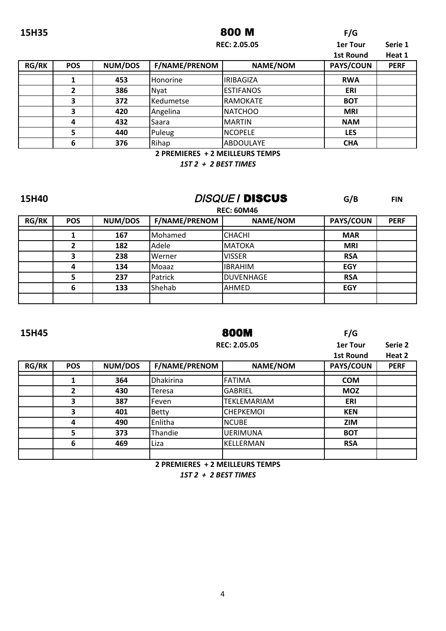### **15H35 F/G** 800 M

|              |            |         |                      | <b>REC: 2.05.05</b> |                  |             |
|--------------|------------|---------|----------------------|---------------------|------------------|-------------|
|              |            |         |                      |                     | <b>1st Round</b> | Heat 1      |
| <b>RG/RK</b> | <b>POS</b> | NUM/DOS | <b>F/NAME/PRENOM</b> | NAME/NOM            | PAYS/COUN        | <b>PERF</b> |
|              |            | 453     | Honorine             | <b>IRIBAGIZA</b>    | <b>RWA</b>       |             |
|              | 2          | 386     | Nyat                 | <b>IESTIFANOS</b>   | ERI              |             |
|              | 3          | 372     | Kedumetse            | RAMOKATE            | <b>BOT</b>       |             |
|              | 3          | 420     | Angelina             | NATCHOO             | <b>MRI</b>       |             |
|              | 4          | 432     | Saara                | <b>MARTIN</b>       | <b>NAM</b>       |             |
|              | 5          | 440     | Puleug               | <b>NCOPELE</b>      | <b>LES</b>       |             |
|              | 6          | 376     | Rihap                | ABDOULAYE           | <b>CHA</b>       |             |

**2 PREMIERES + 2 MEILLEURS TEMPS** 

*1ST 2 + 2 BEST TIMES*

## **15H40 G/B CONS CONS G/B FIN**

|              | <b>REC: 60M46</b> |         |                      |                  |                  |             |  |  |
|--------------|-------------------|---------|----------------------|------------------|------------------|-------------|--|--|
| <b>RG/RK</b> | <b>POS</b>        | NUM/DOS | <b>F/NAME/PRENOM</b> | <b>NAME/NOM</b>  | <b>PAYS/COUN</b> | <b>PERF</b> |  |  |
|              |                   | 167     | Mohamed              | <b>CHACHI</b>    | <b>MAR</b>       |             |  |  |
|              |                   | 182     | Adele                | <b>MATOKA</b>    | <b>MRI</b>       |             |  |  |
|              |                   | 238     | Werner               | <b>VISSER</b>    | <b>RSA</b>       |             |  |  |
|              | д                 | 134     | l Moaaz              | <b>IBRAHIM</b>   | <b>EGY</b>       |             |  |  |
|              |                   | 237     | Patrick              | <b>DUVENHAGE</b> | <b>RSA</b>       |             |  |  |
|              | 6                 | 133     | Shehab               | <b>AHMED</b>     | <b>EGY</b>       |             |  |  |
|              |                   |         |                      |                  |                  |             |  |  |

### **15H45 F/G** 800M

**REC: 2.05.05**

1er Tour **Serie 2** 

|              |            |         |                      |                    | <b>1st Round</b> | Heat 2      |
|--------------|------------|---------|----------------------|--------------------|------------------|-------------|
| <b>RG/RK</b> | <b>POS</b> | NUM/DOS | <b>F/NAME/PRENOM</b> | <b>NAME/NOM</b>    | <b>PAYS/COUN</b> | <b>PERF</b> |
|              |            | 364     | <b>Dhakirina</b>     | FATIMA             | <b>COM</b>       |             |
|              |            | 430     | Teresa               | <b>GABRIEL</b>     | <b>MOZ</b>       |             |
|              | 3          | 387     | lFeven               | <b>TEKLEMARIAM</b> | ERI              |             |
|              | 3          | 401     | <b>Betty</b>         | <b>CHEPKEMOI</b>   | <b>KEN</b>       |             |
|              | 4          | 490     | Enlitha              | <b>NCUBE</b>       | <b>ZIM</b>       |             |
|              |            | 373     | Thandie              | <b>UERIMUNA</b>    | <b>BOT</b>       |             |
|              | 6          | 469     | Liza                 | IKELLERMAN         | <b>RSA</b>       |             |
|              |            |         |                      |                    |                  |             |

**2 PREMIERES + 2 MEILLEURS TEMPS** 

*1ST 2 + 2 BEST TIMES*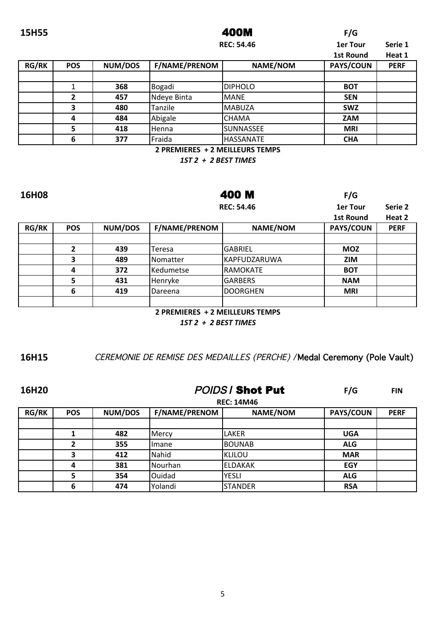### 15H55

### 400M

 $F/G$ 

 $F/G$ 

|              |            |         |                      | <b>REC: 54.46</b> |                  |             |
|--------------|------------|---------|----------------------|-------------------|------------------|-------------|
|              |            |         |                      |                   | <b>1st Round</b> | Heat 1      |
| <b>RG/RK</b> | <b>POS</b> | NUM/DOS | <b>F/NAME/PRENOM</b> | NAME/NOM          | PAYS/COUN        | <b>PERF</b> |
|              |            |         |                      |                   |                  |             |
|              |            | 368     | Bogadi               | <b>DIPHOLO</b>    | <b>BOT</b>       |             |
|              | າ          | 457     | Ndeye Binta          | <b>MANE</b>       | <b>SEN</b>       |             |
|              | 3          | 480     | Tanzile              | MABUZA            | <b>SWZ</b>       |             |
|              | 4          | 484     | Abigale              | CHAMA             | ZAM              |             |
|              | 5          | 418     | <b>Henna</b>         | lSUNNASSEE        | <b>MRI</b>       |             |
|              | 6          | 377     | Fraida               | HASSANATE         | <b>CHA</b>       |             |

2 PREMIERES + 2 MEILLEURS TEMPS

1ST 2 + 2 BEST TIMES

16H08

400 M

|              |            |         |                      | <b>REC: 54.46</b> | 1er Tour         | Serie 2     |
|--------------|------------|---------|----------------------|-------------------|------------------|-------------|
|              |            |         |                      |                   | <b>1st Round</b> | Heat 2      |
| <b>RG/RK</b> | <b>POS</b> | NUM/DOS | <b>F/NAME/PRENOM</b> | NAME/NOM          | PAYS/COUN        | <b>PERF</b> |
|              |            |         |                      |                   |                  |             |
|              |            | 439     | Teresa               | <b>GABRIEL</b>    | <b>MOZ</b>       |             |
|              |            | 489     | Nomatter             | KAPFUDZARUWA      | <b>ZIM</b>       |             |
|              | 4          | 372     | <b>Kedumetse</b>     | RAMOKATE          | <b>BOT</b>       |             |
|              |            | 431     | Henryke              | <b>GARBERS</b>    | <b>NAM</b>       |             |
|              | 6          | 419     | Dareena              | <b>DOORGHEN</b>   | <b>MRI</b>       |             |
|              |            |         |                      |                   |                  |             |

2 PREMIERES + 2 MEILLEURS TEMPS

1ST 2 + 2 BEST TIMES

16H15

CEREMONIE DE REMISE DES MEDAILLES (PERCHE) / Medal Ceremony (Pole Vault)

16H20

**POIDS / Shot Put** 

 $F/G$ **FIN** 

|              | <b>REC: 14M46</b> |         |                      |                 |            |             |  |
|--------------|-------------------|---------|----------------------|-----------------|------------|-------------|--|
| <b>RG/RK</b> | <b>POS</b>        | NUM/DOS | <b>F/NAME/PRENOM</b> | <b>NAME/NOM</b> | PAYS/COUN  | <b>PERF</b> |  |
|              |                   |         |                      |                 |            |             |  |
|              |                   | 482     | Mercy                | LAKER           | <b>UGA</b> |             |  |
|              |                   | 355     | Imane                | BOUNAB          | <b>ALG</b> |             |  |
|              | э                 | 412     | Nahid                | <b>KLILOU</b>   | <b>MAR</b> |             |  |
|              | 4                 | 381     | l Nourhan            | leldakak        | <b>EGY</b> |             |  |
|              |                   | 354     | <b>Ouidad</b>        | <b>YESLI</b>    | <b>ALG</b> |             |  |
|              | 6                 | 474     | Yolandi              | <b>STANDER</b>  | <b>RSA</b> |             |  |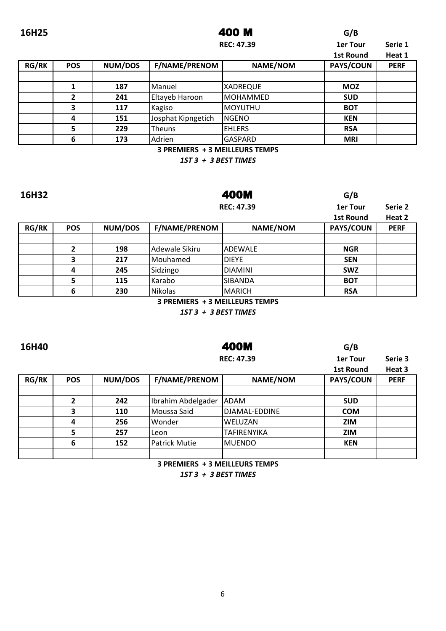### 16H25 **400 M** G/B 400 M

**1er Tour Serie 3**

|              |            |         | <b>REC: 47.39</b>    | 1er Tour        | Serie 1          |             |
|--------------|------------|---------|----------------------|-----------------|------------------|-------------|
|              |            |         |                      |                 | <b>1st Round</b> | Heat 1      |
| <b>RG/RK</b> | <b>POS</b> | NUM/DOS | <b>F/NAME/PRENOM</b> | <b>NAME/NOM</b> | <b>PAYS/COUN</b> | <b>PERF</b> |
|              |            |         |                      |                 |                  |             |
|              |            | 187     | Manuel               | <b>XADREQUE</b> | <b>MOZ</b>       |             |
|              | 2          | 241     | Eltayeb Haroon       | MOHAMMED        | <b>SUD</b>       |             |
|              | 3          | 117     | Kagiso               | <b>MOYUTHU</b>  | <b>BOT</b>       |             |
|              | 4          | 151     | Josphat Kipngetich   | NGENO           | <b>KEN</b>       |             |
|              | 5          | 229     | <b>Theuns</b>        | <b>EHLERS</b>   | <b>RSA</b>       |             |
|              | 6          | 173     | Adrien               | <b>GASPARD</b>  | <b>MRI</b>       |             |

**3 PREMIERS + 3 MEILLEURS TEMPS** 

*1ST 3 + 3 BEST TIMES*

400M

| 16H32        |            |         |                                | 400M              |                  |             |
|--------------|------------|---------|--------------------------------|-------------------|------------------|-------------|
|              |            |         |                                | <b>REC: 47.39</b> |                  | Serie 2     |
|              |            |         |                                |                   | <b>1st Round</b> | Heat 2      |
| <b>RG/RK</b> | <b>POS</b> | NUM/DOS | <b>F/NAME/PRENOM</b>           | <b>NAME/NOM</b>   | <b>PAYS/COUN</b> | <b>PERF</b> |
|              |            |         |                                |                   |                  |             |
|              | 2          | 198     | Adewale Sikiru                 | <b>ADEWALE</b>    | <b>NGR</b>       |             |
|              | 3          | 217     | Mouhamed                       | <b>DIEYE</b>      | <b>SEN</b>       |             |
|              | 4          | 245     | Sidzingo                       | <b>DIAMINI</b>    | <b>SWZ</b>       |             |
|              | 5          | 115     | Karabo                         | <b>SIBANDA</b>    | <b>BOT</b>       |             |
|              | 6          | 230     | Nikolas                        | MARICH            | <b>RSA</b>       |             |
|              |            |         | 3 PREMIERS + 3 MEILLEURS TEMPS |                   |                  |             |

*1ST 3 + 3 BEST TIMES*

### 16H40 **16H40 G/B** 400M

|   | <b>REC: 47.39</b> |
|---|-------------------|
|   |                   |
| M | NAME/NOM          |

|              |            |                |                      |                    | <b>1st Round</b> | Heat 3      |
|--------------|------------|----------------|----------------------|--------------------|------------------|-------------|
| <b>RG/RK</b> | <b>POS</b> | <b>NUM/DOS</b> | <b>F/NAME/PRENOM</b> | <b>NAME/NOM</b>    | <b>PAYS/COUN</b> | <b>PERF</b> |
|              |            |                |                      |                    |                  |             |
|              |            | 242            | Ibrahim Abdelgader   | ADAM               | <b>SUD</b>       |             |
|              |            | 110            | Moussa Said          | DJAMAL-EDDINE      | <b>COM</b>       |             |
|              |            | 256            | l Wonder             | lweluzan           | <b>ZIM</b>       |             |
|              |            | 257            | l Leon               | <b>TAFIRENYIKA</b> | <b>ZIM</b>       |             |
|              | 6          | 152            | Patrick Mutie        | MUENDO             | <b>KEN</b>       |             |
|              |            |                |                      |                    |                  |             |

**3 PREMIERS + 3 MEILLEURS TEMPS** 

*1ST 3 + 3 BEST TIMES*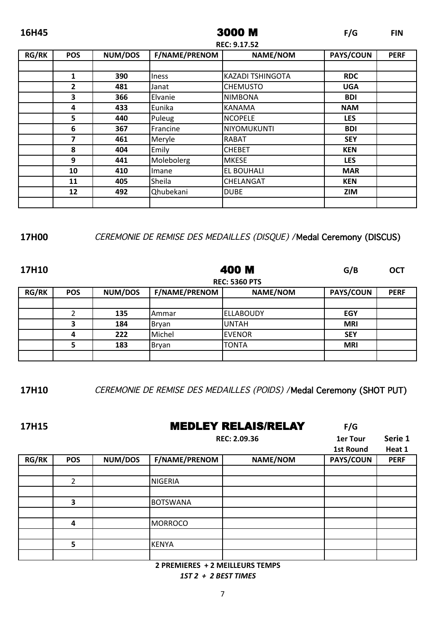| 16H45        |                     |         |                      | 3000 M                  | F/G        | <b>FIN</b>  |  |
|--------------|---------------------|---------|----------------------|-------------------------|------------|-------------|--|
|              | <b>REC: 9.17.52</b> |         |                      |                         |            |             |  |
| <b>RG/RK</b> | <b>POS</b>          | NUM/DOS | <b>F/NAME/PRENOM</b> | <b>NAME/NOM</b>         | PAYS/COUN  | <b>PERF</b> |  |
|              |                     |         |                      |                         |            |             |  |
|              | 1                   | 390     | <b>Iness</b>         | <b>KAZADI TSHINGOTA</b> | <b>RDC</b> |             |  |
|              | $\overline{2}$      | 481     | Janat                | <b>CHEMUSTO</b>         | <b>UGA</b> |             |  |
|              | 3                   | 366     | Elvanie              | <b>NIMBONA</b>          | <b>BDI</b> |             |  |
|              | 4                   | 433     | Eunika               | <b>KANAMA</b>           | <b>NAM</b> |             |  |
|              | 5                   | 440     | Puleug               | <b>NCOPELE</b>          | <b>LES</b> |             |  |
|              | 6                   | 367     | Francine             | <b>NIYOMUKUNTI</b>      | <b>BDI</b> |             |  |
|              | 7                   | 461     | Meryle               | RABAT                   | <b>SEY</b> |             |  |
|              | 8                   | 404     | Emily                | <b>CHEBET</b>           | <b>KEN</b> |             |  |
|              | 9                   | 441     | Molebolerg           | <b>MKESE</b>            | <b>LES</b> |             |  |
|              | 10                  | 410     | Imane                | EL BOUHALI              | <b>MAR</b> |             |  |
|              | 11                  | 405     | Sheila               | CHELANGAT               | <b>KEN</b> |             |  |
|              | 12                  | 492     | Qhubekani            | <b>DUBE</b>             | <b>ZIM</b> |             |  |
|              |                     |         |                      |                         |            |             |  |

## **17H00** CEREMONIE DE REMISE DES MEDAILLES (DISQUE) /Medal Ceremony (DISCUS)

| 17H10        |            | 400 M   |                      |                      | G/B              | <b>OCT</b>  |
|--------------|------------|---------|----------------------|----------------------|------------------|-------------|
|              |            |         |                      | <b>REC: 5360 PTS</b> |                  |             |
| <b>RG/RK</b> | <b>POS</b> | NUM/DOS | <b>F/NAME/PRENOM</b> | <b>NAME/NOM</b>      | <b>PAYS/COUN</b> | <b>PERF</b> |
|              |            |         |                      |                      |                  |             |
|              | 2          | 135     | IAmmar               | lellaboudy           | EGY              |             |
|              | 3          | 184     | Bryan                | <b>UNTAH</b>         | <b>MRI</b>       |             |
|              | 4          | 222     | Michel               | <b>EVENOR</b>        | <b>SEY</b>       |             |
|              | 5          | 183     | Bryan                | TONTA                | <b>MRI</b>       |             |
|              |            |         |                      |                      |                  |             |

**17H10** CEREMONIE DE REMISE DES MEDAILLES (POIDS) /Medal Ceremony (SHOT PUT)

### 17H15 **MEDLEY RELAIS/RELAY** F/G

|              |            |         |                      | REC: 2.09.36 |           |             |
|--------------|------------|---------|----------------------|--------------|-----------|-------------|
|              |            |         |                      |              |           |             |
| <b>RG/RK</b> | <b>POS</b> | NUM/DOS | <b>F/NAME/PRENOM</b> | NAME/NOM     | PAYS/COUN | <b>PERF</b> |
|              |            |         |                      |              |           |             |
|              | 2          |         | <b>NIGERIA</b>       |              |           |             |
|              |            |         |                      |              |           |             |
|              | 3          |         | <b>BOTSWANA</b>      |              |           |             |
|              |            |         |                      |              |           |             |
|              | 4          |         | <b>MORROCO</b>       |              |           |             |
|              |            |         |                      |              |           |             |
|              | 5          |         | <b>KENYA</b>         |              |           |             |
|              |            |         |                      |              |           |             |

**2 PREMIERES + 2 MEILLEURS TEMPS** *1ST 2 + 2 BEST TIMES*